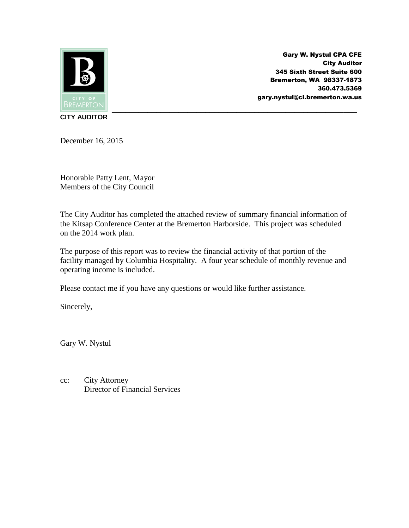

Gary W. Nystul CPA CFE City Auditor 345 Sixth Street Suite 600 Bremerton, WA 98337-1873 360.473.5369 gary.nystul@ci.bremerton.wa.us

**CITY AUDITOR**

December 16, 2015

Honorable Patty Lent, Mayor Members of the City Council

The City Auditor has completed the attached review of summary financial information of the Kitsap Conference Center at the Bremerton Harborside. This project was scheduled on the 2014 work plan.

The purpose of this report was to review the financial activity of that portion of the facility managed by Columbia Hospitality. A four year schedule of monthly revenue and operating income is included.

Please contact me if you have any questions or would like further assistance.

Sincerely,

Gary W. Nystul

cc: City Attorney Director of Financial Services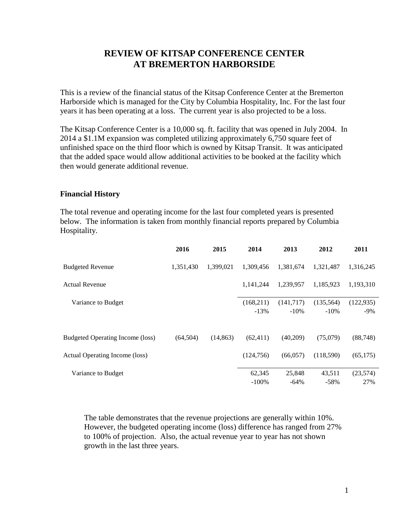# **REVIEW OF KITSAP CONFERENCE CENTER AT BREMERTON HARBORSIDE**

This is a review of the financial status of the Kitsap Conference Center at the Bremerton Harborside which is managed for the City by Columbia Hospitality, Inc. For the last four years it has been operating at a loss. The current year is also projected to be a loss.

The Kitsap Conference Center is a 10,000 sq. ft. facility that was opened in July 2004. In 2014 a \$1.1M expansion was completed utilizing approximately 6,750 square feet of unfinished space on the third floor which is owned by Kitsap Transit. It was anticipated that the added space would allow additional activities to be booked at the facility which then would generate additional revenue.

### **Financial History**

The total revenue and operating income for the last four completed years is presented below. The information is taken from monthly financial reports prepared by Columbia Hospitality.

|                                  | 2016      | 2015      | 2014                | 2013                | 2012                 | 2011                 |
|----------------------------------|-----------|-----------|---------------------|---------------------|----------------------|----------------------|
| <b>Budgeted Revenue</b>          | 1,351,430 | 1.399.021 | 1.309.456           | 1,381,674           | 1,321,487            | 1,316,245            |
| <b>Actual Revenue</b>            |           |           | 1,141,244           | 1,239,957           | 1,185,923            | 1,193,310            |
| Variance to Budget               |           |           | (168,211)<br>$-13%$ | (141,717)<br>$-10%$ | (135, 564)<br>$-10%$ | (122, 935)<br>$-9\%$ |
| Budgeted Operating Income (loss) | (64, 504) | (14, 863) | (62, 411)           | (40,209)            | (75,079)             | (88, 748)            |
| Actual Operating Income (loss)   |           |           | (124, 756)          | (66,057)            | (118,590)            | (65, 175)            |
| Variance to Budget               |           |           | 62,345<br>$-100%$   | 25,848<br>$-64%$    | 43,511<br>$-58%$     | (23,574)<br>27%      |

The table demonstrates that the revenue projections are generally within 10%. However, the budgeted operating income (loss) difference has ranged from 27% to 100% of projection. Also, the actual revenue year to year has not shown growth in the last three years.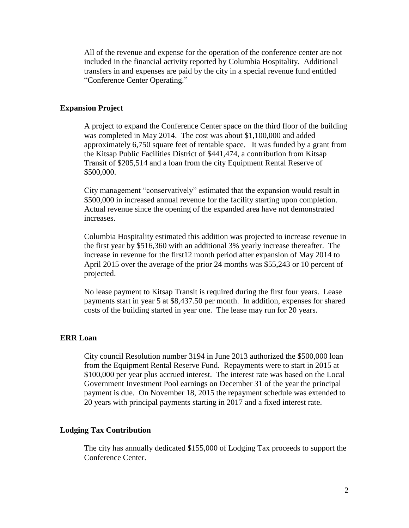All of the revenue and expense for the operation of the conference center are not included in the financial activity reported by Columbia Hospitality. Additional transfers in and expenses are paid by the city in a special revenue fund entitled "Conference Center Operating."

### **Expansion Project**

A project to expand the Conference Center space on the third floor of the building was completed in May 2014. The cost was about \$1,100,000 and added approximately 6,750 square feet of rentable space. It was funded by a grant from the Kitsap Public Facilities District of \$441,474, a contribution from Kitsap Transit of \$205,514 and a loan from the city Equipment Rental Reserve of \$500,000.

City management "conservatively" estimated that the expansion would result in \$500,000 in increased annual revenue for the facility starting upon completion. Actual revenue since the opening of the expanded area have not demonstrated increases.

Columbia Hospitality estimated this addition was projected to increase revenue in the first year by \$516,360 with an additional 3% yearly increase thereafter. The increase in revenue for the first12 month period after expansion of May 2014 to April 2015 over the average of the prior 24 months was \$55,243 or 10 percent of projected.

No lease payment to Kitsap Transit is required during the first four years. Lease payments start in year 5 at \$8,437.50 per month. In addition, expenses for shared costs of the building started in year one. The lease may run for 20 years.

#### **ERR Loan**

City council Resolution number 3194 in June 2013 authorized the \$500,000 loan from the Equipment Rental Reserve Fund. Repayments were to start in 2015 at \$100,000 per year plus accrued interest. The interest rate was based on the Local Government Investment Pool earnings on December 31 of the year the principal payment is due. On November 18, 2015 the repayment schedule was extended to 20 years with principal payments starting in 2017 and a fixed interest rate.

#### **Lodging Tax Contribution**

The city has annually dedicated \$155,000 of Lodging Tax proceeds to support the Conference Center.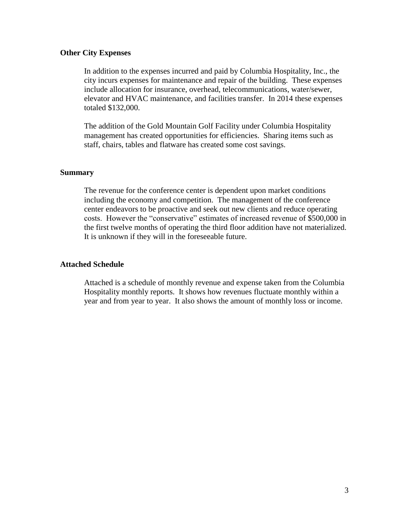### **Other City Expenses**

In addition to the expenses incurred and paid by Columbia Hospitality, Inc., the city incurs expenses for maintenance and repair of the building. These expenses include allocation for insurance, overhead, telecommunications, water/sewer, elevator and HVAC maintenance, and facilities transfer. In 2014 these expenses totaled \$132,000.

The addition of the Gold Mountain Golf Facility under Columbia Hospitality management has created opportunities for efficiencies. Sharing items such as staff, chairs, tables and flatware has created some cost savings.

### **Summary**

The revenue for the conference center is dependent upon market conditions including the economy and competition. The management of the conference center endeavors to be proactive and seek out new clients and reduce operating costs. However the "conservative" estimates of increased revenue of \$500,000 in the first twelve months of operating the third floor addition have not materialized. It is unknown if they will in the foreseeable future.

## **Attached Schedule**

Attached is a schedule of monthly revenue and expense taken from the Columbia Hospitality monthly reports. It shows how revenues fluctuate monthly within a year and from year to year. It also shows the amount of monthly loss or income.